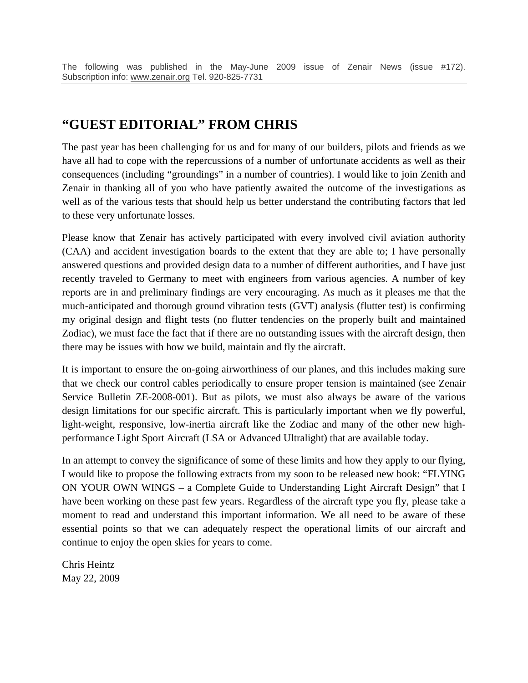## **"GUEST EDITORIAL" FROM CHRIS**

The past year has been challenging for us and for many of our builders, pilots and friends as we have all had to cope with the repercussions of a number of unfortunate accidents as well as their consequences (including "groundings" in a number of countries). I would like to join Zenith and Zenair in thanking all of you who have patiently awaited the outcome of the investigations as well as of the various tests that should help us better understand the contributing factors that led to these very unfortunate losses.

Please know that Zenair has actively participated with every involved civil aviation authority (CAA) and accident investigation boards to the extent that they are able to; I have personally answered questions and provided design data to a number of different authorities, and I have just recently traveled to Germany to meet with engineers from various agencies. A number of key reports are in and preliminary findings are very encouraging. As much as it pleases me that the much-anticipated and thorough ground vibration tests (GVT) analysis (flutter test) is confirming my original design and flight tests (no flutter tendencies on the properly built and maintained Zodiac), we must face the fact that if there are no outstanding issues with the aircraft design, then there may be issues with how we build, maintain and fly the aircraft.

It is important to ensure the on-going airworthiness of our planes, and this includes making sure that we check our control cables periodically to ensure proper tension is maintained (see Zenair Service Bulletin ZE-2008-001). But as pilots, we must also always be aware of the various design limitations for our specific aircraft. This is particularly important when we fly powerful, light-weight, responsive, low-inertia aircraft like the Zodiac and many of the other new highperformance Light Sport Aircraft (LSA or Advanced Ultralight) that are available today.

In an attempt to convey the significance of some of these limits and how they apply to our flying, I would like to propose the following extracts from my soon to be released new book: "FLYING ON YOUR OWN WINGS – a Complete Guide to Understanding Light Aircraft Design" that I have been working on these past few years. Regardless of the aircraft type you fly, please take a moment to read and understand this important information. We all need to be aware of these essential points so that we can adequately respect the operational limits of our aircraft and continue to enjoy the open skies for years to come.

Chris Heintz May 22, 2009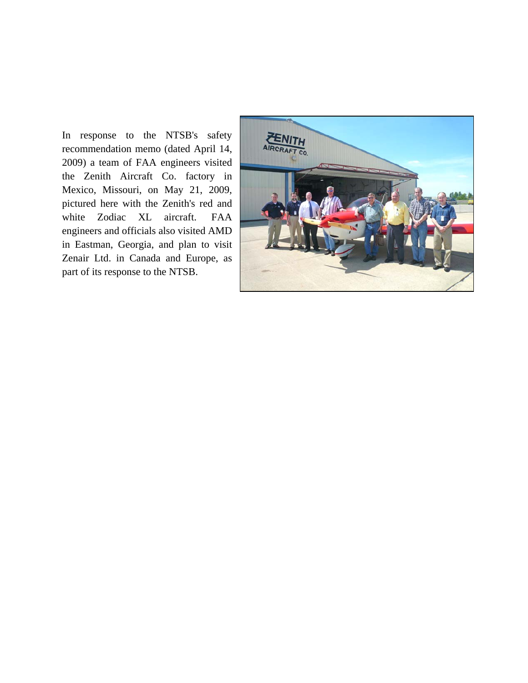In response to the NTSB's safety recommendation memo (dated April 14, 2009) a team of FAA engineers visited the Zenith Aircraft Co. factory in Mexico, Missouri, on May 21, 2009, pictured here with the Zenith's red and white Zodiac XL aircraft. FAA engineers and officials also visited AMD in Eastman, Georgia, and plan to visit Zenair Ltd. in Canada and Europe, as part of its response to the NTSB.

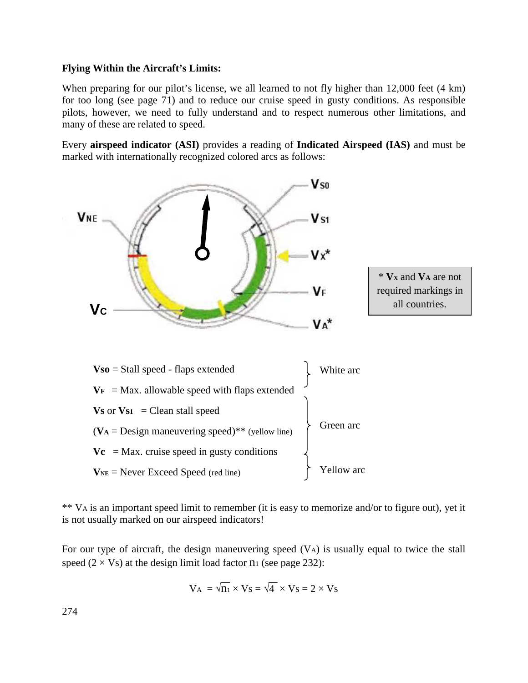## **Flying Within the Aircraft's Limits:**

When preparing for our pilot's license, we all learned to not fly higher than 12,000 feet (4 km) for too long (see page 71) and to reduce our cruise speed in gusty conditions. As responsible pilots, however, we need to fully understand and to respect numerous other limitations, and many of these are related to speed.

Every **airspeed indicator (ASI)** provides a reading of **Indicated Airspeed (IAS)** and must be marked with internationally recognized colored arcs as follows:



\*\* VA is an important speed limit to remember (it is easy to memorize and/or to figure out), yet it is not usually marked on our airspeed indicators!

For our type of aircraft, the design maneuvering speed (VA) is usually equal to twice the stall speed  $(2 \times V_s)$  at the design limit load factor  $n_1$  (see page 232):

$$
V_A = \sqrt{n_1} \times V_S = \sqrt{4} \times V_S = 2 \times V_S
$$

274